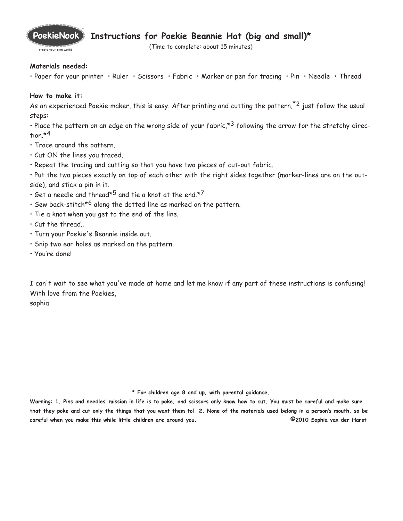

## **Instructions for Poekie Beannie Hat (big and small)\***

(Time to complete: about 15 minutes)

## **Materials needed:**

• Paper for your printer • Ruler • Scissors • Fabric • Marker or pen for tracing • Pin • Needle • Thread

## **How to make it:**

As an experienced Poekie maker, this is easy. After printing and cutting the pattern,<sup>\*2</sup> just follow the usual steps:

• Place the pattern on an edge on the wrong side of your fabric,  $*3$  following the arrow for the stretchy direction  $*4$ 

- Trace around the pattern.
- Cut ON the lines you traced.
- Repeat the tracing and cutting so that you have two pieces of cut-out fabric.

• Put the two pieces exactly on top of each other with the right sides together (marker-lines are on the outside), and stick a pin in it.

- $\cdot$  Get a needle and thread\*5 and tie a knot at the end.\*7
- Sew back-stitch<sup>\*6</sup> along the dotted line as marked on the pattern.
- Tie a knot when you get to the end of the line.
- Cut the thread..
- Turn your Poekie's Beannie inside out.
- Snip two ear holes as marked on the pattern.
- You're done!

I can't wait to see what you've made at home and let me know if any part of these instructions is confusing! With love from the Poekies,

sophia

**\* For children age 8 and up, with parental guidance.**

**Warning: 1. Pins and needles' mission in life is to poke, and scissors only know how to cut. You must be careful and make sure that they poke and cut only the things that you want them to! 2. None of the materials used belong in a person's mouth, so be careful when you make this while little children are around you. ©2010 Sophia van der Harst**